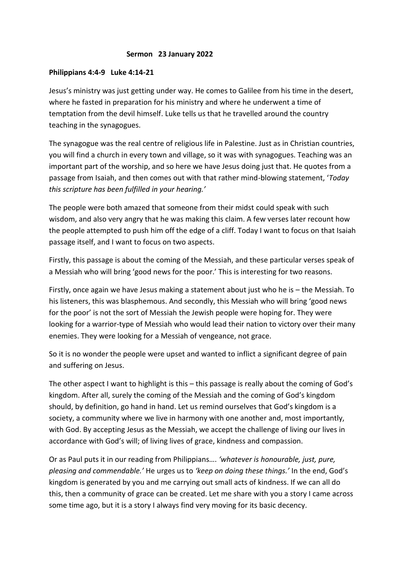## **Sermon 23 January 2022**

## **Philippians 4:4-9 Luke 4:14-21**

Jesus's ministry was just getting under way. He comes to Galilee from his time in the desert, where he fasted in preparation for his ministry and where he underwent a time of temptation from the devil himself. Luke tells us that he travelled around the country teaching in the synagogues.

The synagogue was the real centre of religious life in Palestine. Just as in Christian countries, you will find a church in every town and village, so it was with synagogues. Teaching was an important part of the worship, and so here we have Jesus doing just that. He quotes from a passage from Isaiah, and then comes out with that rather mind-blowing statement, '*Today this scripture has been fulfilled in your hearing.'* 

The people were both amazed that someone from their midst could speak with such wisdom, and also very angry that he was making this claim. A few verses later recount how the people attempted to push him off the edge of a cliff. Today I want to focus on that Isaiah passage itself, and I want to focus on two aspects.

Firstly, this passage is about the coming of the Messiah, and these particular verses speak of a Messiah who will bring 'good news for the poor.' This is interesting for two reasons.

Firstly, once again we have Jesus making a statement about just who he is – the Messiah. To his listeners, this was blasphemous. And secondly, this Messiah who will bring 'good news for the poor' is not the sort of Messiah the Jewish people were hoping for. They were looking for a warrior-type of Messiah who would lead their nation to victory over their many enemies. They were looking for a Messiah of vengeance, not grace.

So it is no wonder the people were upset and wanted to inflict a significant degree of pain and suffering on Jesus.

The other aspect I want to highlight is this – this passage is really about the coming of God's kingdom. After all, surely the coming of the Messiah and the coming of God's kingdom should, by definition, go hand in hand. Let us remind ourselves that God's kingdom is a society, a community where we live in harmony with one another and, most importantly, with God. By accepting Jesus as the Messiah, we accept the challenge of living our lives in accordance with God's will; of living lives of grace, kindness and compassion.

Or as Paul puts it in our reading from Philippians…. *'whatever is honourable, just, pure, pleasing and commendable.'* He urges us to *'keep on doing these things.'* In the end, God's kingdom is generated by you and me carrying out small acts of kindness. If we can all do this, then a community of grace can be created. Let me share with you a story I came across some time ago, but it is a story I always find very moving for its basic decency.